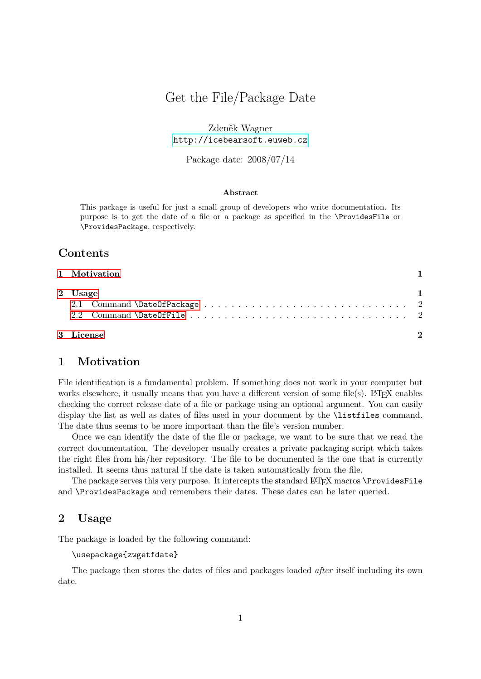# Get the File/Package Date

Zdeněk Wagner <http://icebearsoft.euweb.cz>

Package date: 2008/07/14

#### **Abstract**

This package is useful for just a small group of developers who write documentation. Its purpose is to get the date of a file or a package as specified in the \ProvidesFile or \ProvidesPackage, respectively.

## **Contents**

| 1 Motivation |              |
|--------------|--------------|
| 2 Usage      | $\mathbf{1}$ |
|              |              |
| 3 License    | 2            |

# <span id="page-0-0"></span>**1 Motivation**

File identification is a fundamental problem. If something does not work in your computer but works elsewhere, it usually means that you have a different version of some file(s). LATEX enables checking the correct release date of a file or package using an optional argument. You can easily display the list as well as dates of files used in your document by the **\listfiles** command. The date thus seems to be more important than the file's version number.

Once we can identify the date of the file or package, we want to be sure that we read the correct documentation. The developer usually creates a private packaging script which takes the right files from his/her repository. The file to be documented is the one that is currently installed. It seems thus natural if the date is taken automatically from the file.

The package serves this very purpose. It intercepts the standard LAT<sub>F</sub>X macros \ProvidesFile and \ProvidesPackage and remembers their dates. These dates can be later queried.

### <span id="page-0-1"></span>**2 Usage**

The package is loaded by the following command:

\usepackage{zwgetfdate}

The package then stores the dates of files and packages loaded *after* itself including its own date.